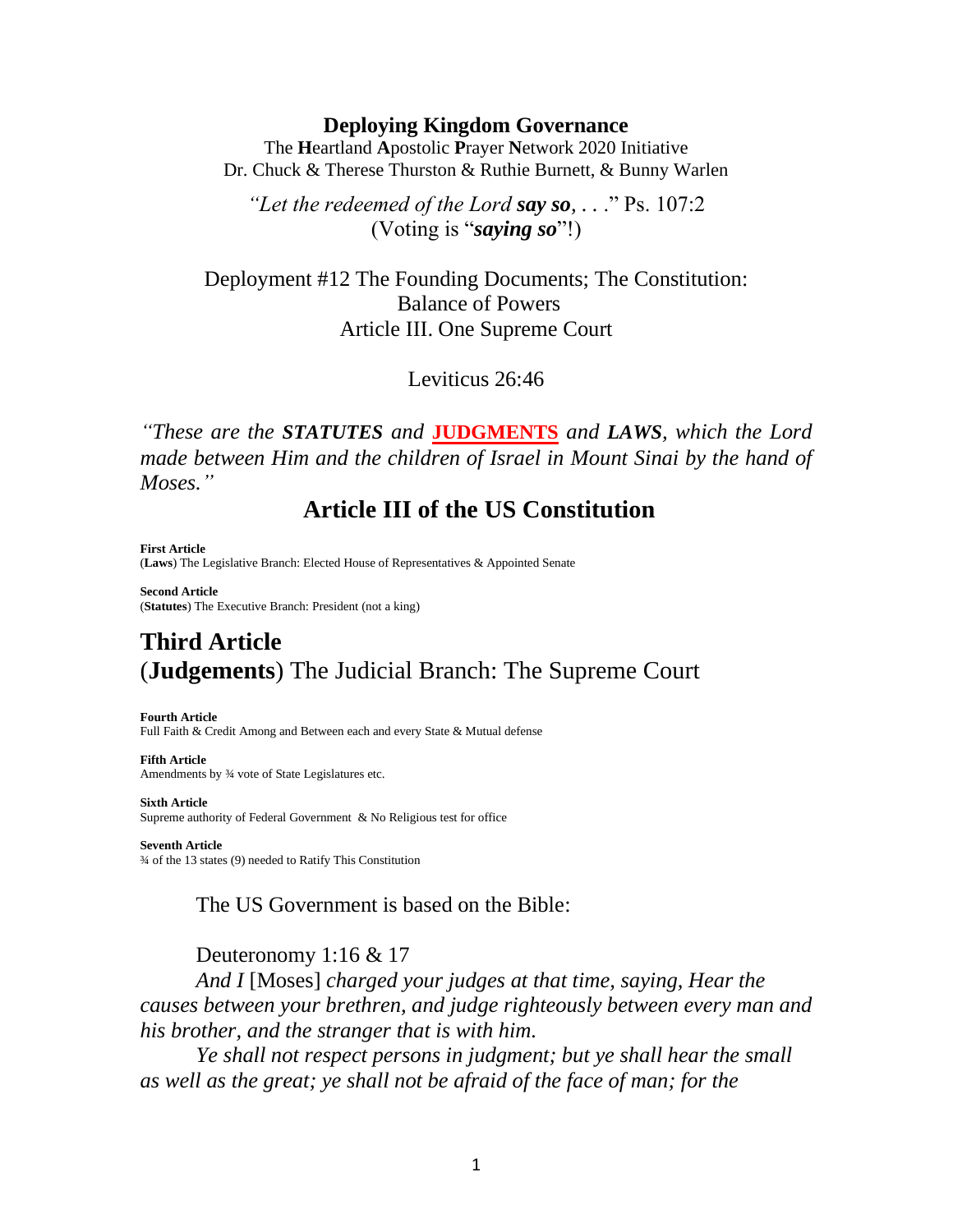#### **Deploying Kingdom Governance**

The **H**eartland **A**postolic **P**rayer **N**etwork 2020 Initiative Dr. Chuck & Therese Thurston & Ruthie Burnett, & Bunny Warlen

*"Let the redeemed of the Lord say so, . .* ." Ps. 107:2 (Voting is "*saying so*"!)

Deployment #12 The Founding Documents; The Constitution: Balance of Powers Article III. One Supreme Court

Leviticus 26:46

*"These are the STATUTES and* **JUDGMENTS** *and LAWS, which the Lord made between Him and the children of Israel in Mount Sinai by the hand of Moses."*

**Article III of the US Constitution** 

**First Article** (**Laws**) The Legislative Branch: Elected House of Representatives & Appointed Senate

**Second Article** (**Statutes**) The Executive Branch: President (not a king)

# **Third Article** (**Judgements**) The Judicial Branch: The Supreme Court

**Fourth Article**

**Sixth Article**

Full Faith & Credit Among and Between each and every State & Mutual defense

**Fifth Article** Amendments by ¾ vote of State Legislatures etc.

Supreme authority of Federal Government & No Religious test for office **Seventh Article** ¾ of the 13 states (9) needed to Ratify This Constitution

The US Government is based on the Bible:

Deuteronomy 1:16 & 17

*And I* [Moses] *charged your judges at that time, saying, Hear the causes between your brethren, and judge righteously between every man and his brother, and the stranger that is with him.*

*Ye shall not respect persons in judgment; but ye shall hear the small as well as the great; ye shall not be afraid of the face of man; for the*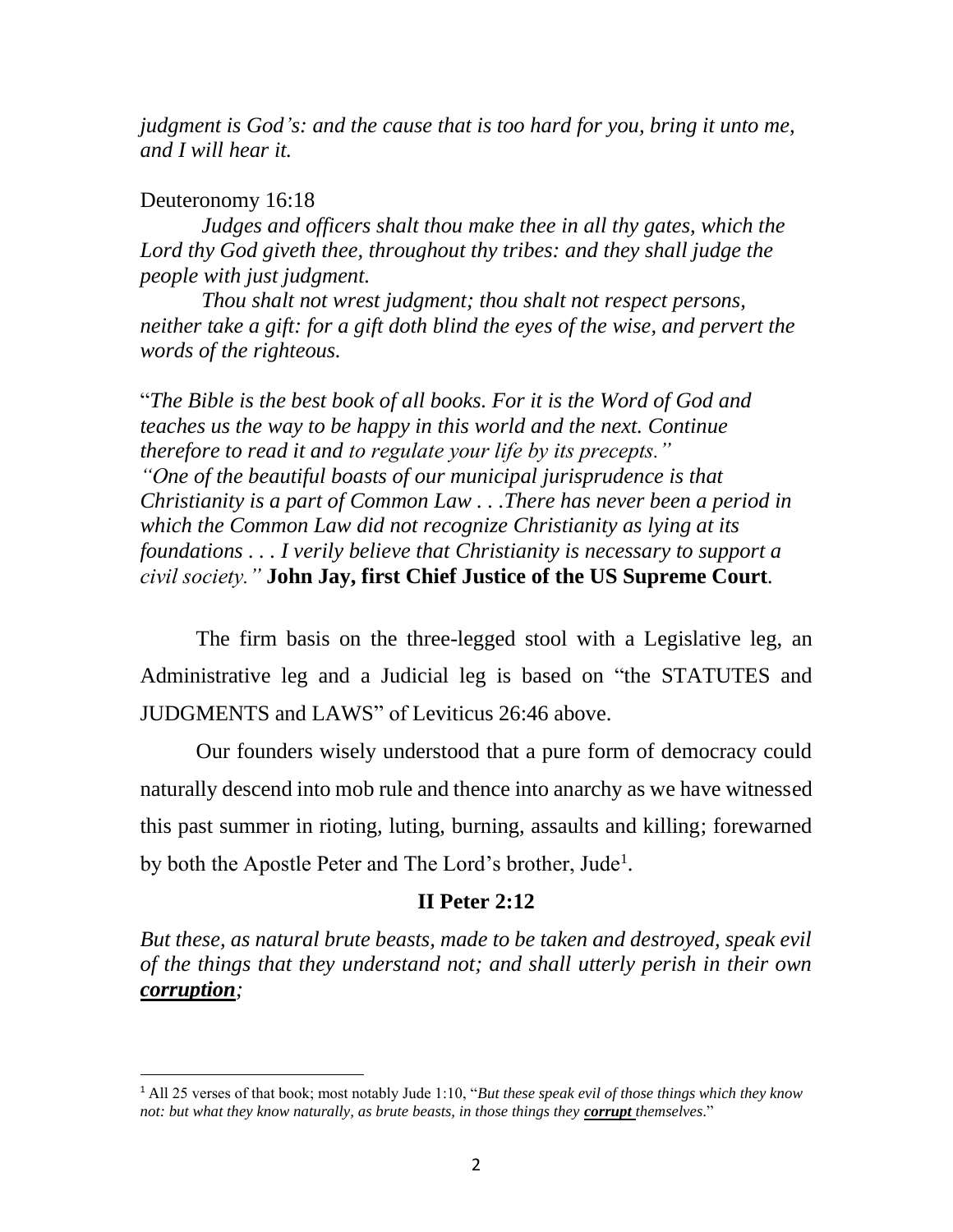*judgment is God's: and the cause that is too hard for you, bring it unto me, and I will hear it.*

#### Deuteronomy 16:18

*Judges and officers shalt thou make thee in all thy gates, which the Lord thy God giveth thee, throughout thy tribes: and they shall judge the people with just judgment.*

*Thou shalt not wrest judgment; thou shalt not respect persons, neither take a gift: for a gift doth blind the eyes of the wise, and pervert the words of the righteous.*

"*The Bible is the best book of all books. For it is the Word of God and teaches us the way to be happy in this world and the next. Continue therefore to read it and to regulate your life by its precepts." "One of the beautiful boasts of our municipal jurisprudence is that Christianity is a part of Common Law . . .There has never been a period in which the Common Law did not recognize Christianity as lying at its foundations . . . I verily believe that Christianity is necessary to support a civil society."* **John Jay, first Chief Justice of the US Supreme Court***.*

The firm basis on the three-legged stool with a Legislative leg, an Administrative leg and a Judicial leg is based on "the STATUTES and JUDGMENTS and LAWS" of Leviticus 26:46 above.

Our founders wisely understood that a pure form of democracy could naturally descend into mob rule and thence into anarchy as we have witnessed this past summer in rioting, luting, burning, assaults and killing; forewarned by both the Apostle Peter and The Lord's brother, Jude<sup>1</sup>.

## **II Peter 2:12**

*But these, as natural brute beasts, made to be taken and destroyed, speak evil of the things that they understand not; and shall utterly perish in their own corruption;*

<sup>1</sup> All 25 verses of that book; most notably Jude 1:10, "*But these speak evil of those things which they know not: but what they know naturally, as brute beasts, in those things they corrupt themselves*."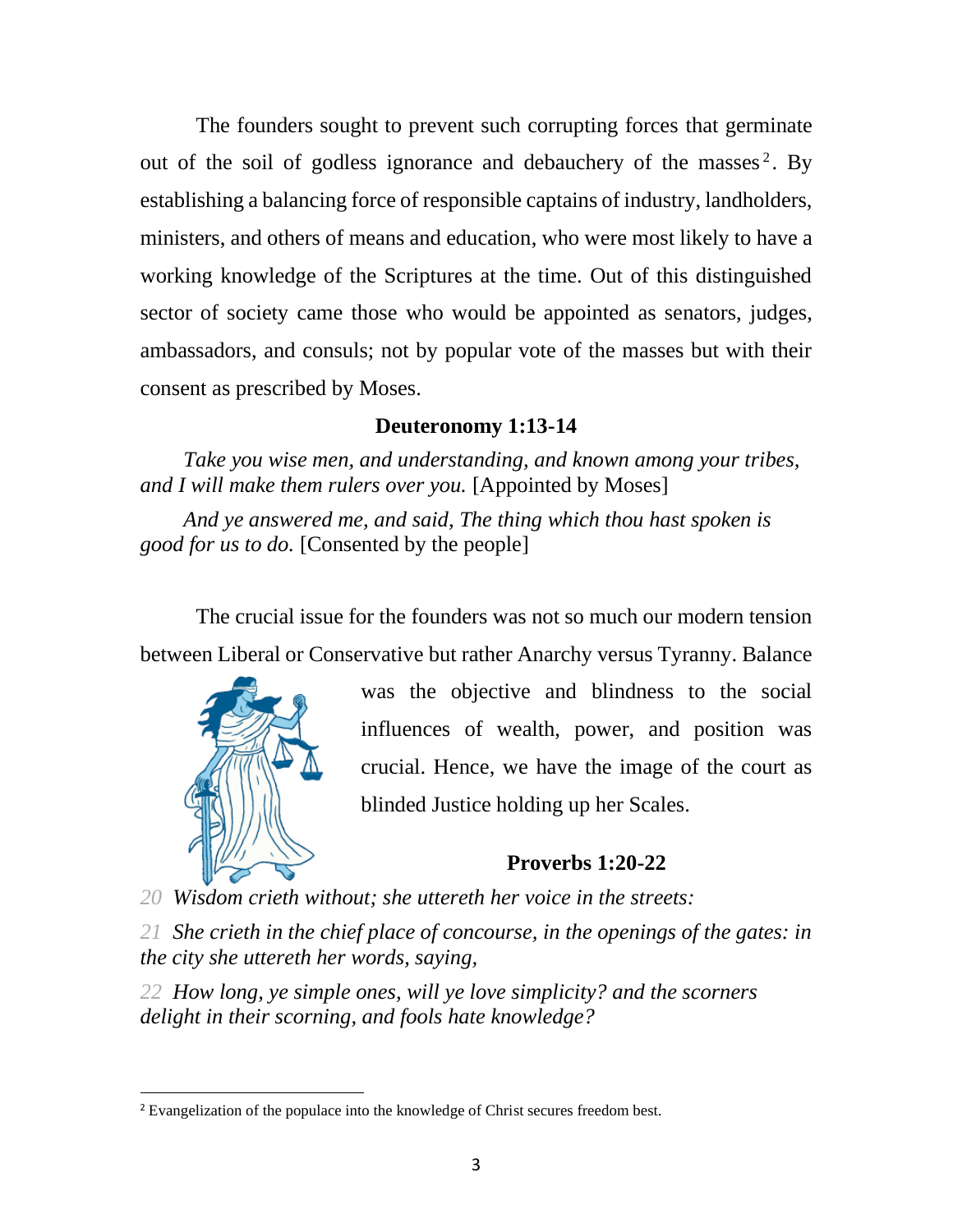The founders sought to prevent such corrupting forces that germinate out of the soil of godless ignorance and debauchery of the masses<sup>2</sup>. By establishing a balancing force of responsible captains of industry, landholders, ministers, and others of means and education, who were most likely to have a working knowledge of the Scriptures at the time. Out of this distinguished sector of society came those who would be appointed as senators, judges, ambassadors, and consuls; not by popular vote of the masses but with their consent as prescribed by Moses.

### **Deuteronomy 1:13-14**

*Take you wise men, and understanding, and known among your tribes, and I will make them rulers over you.* [Appointed by Moses]

*And ye answered me, and said, The thing which thou hast spoken is good for us to do.* [Consented by the people]

The crucial issue for the founders was not so much our modern tension between Liberal or Conservative but rather Anarchy versus Tyranny. Balance



was the objective and blindness to the social influences of wealth, power, and position was crucial. Hence, we have the image of the court as blinded Justice holding up her Scales.

# **Proverbs 1:20-22**

*20 Wisdom crieth without; she uttereth her voice in the streets:*

*21 She crieth in the chief place of concourse, in the openings of the gates: in the city she uttereth her words, saying,*

*22 How long, ye simple ones, will ye love simplicity? and the scorners delight in their scorning, and fools hate knowledge?*

<sup>&</sup>lt;sup>2</sup> Evangelization of the populace into the knowledge of Christ secures freedom best.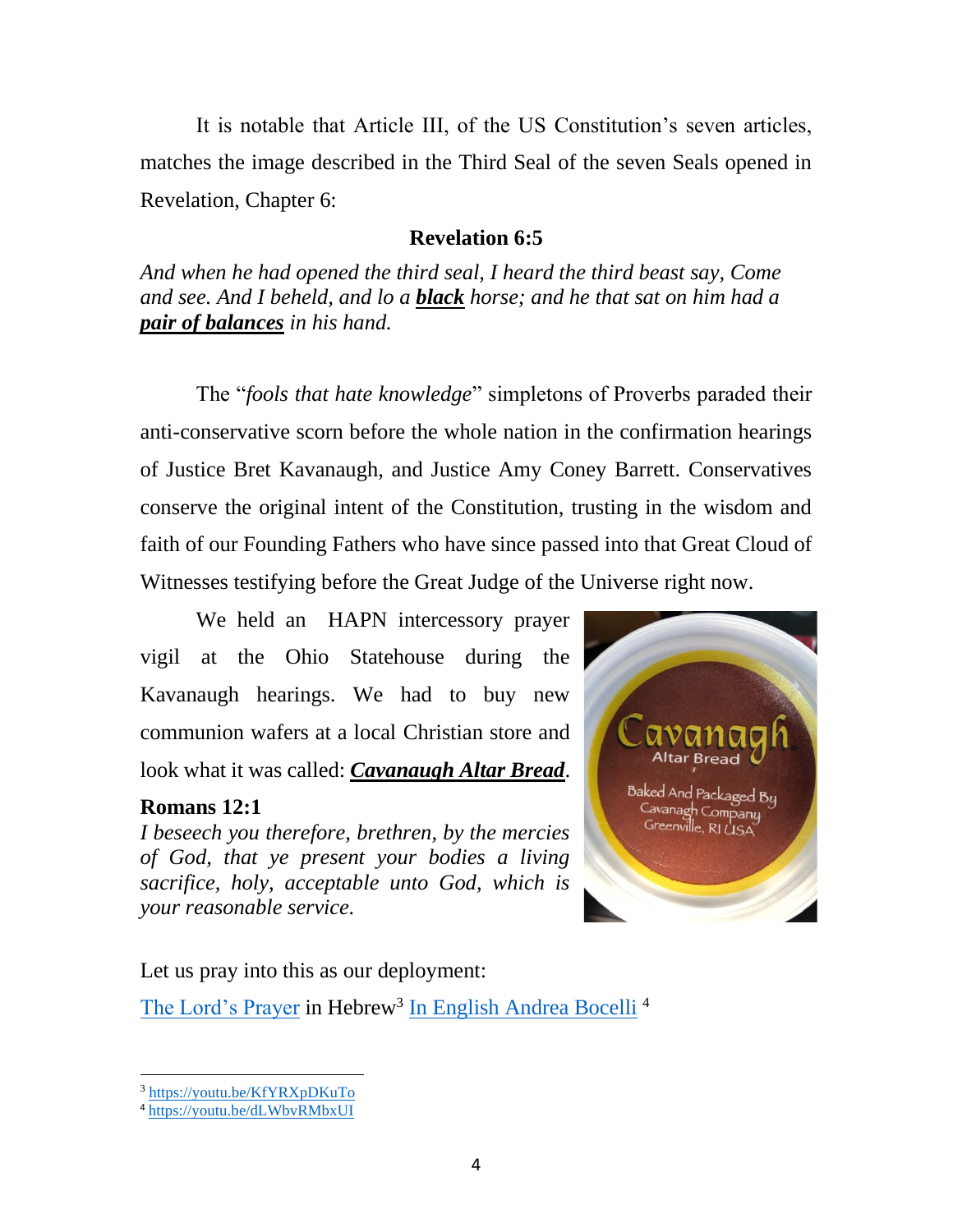It is notable that Article III, of the US Constitution's seven articles, matches the image described in the Third Seal of the seven Seals opened in Revelation, Chapter 6:

# **Revelation 6:5**

*And when he had opened the third seal, I heard the third beast say, Come and see. And I beheld, and lo a black horse; and he that sat on him had a pair of balances in his hand.*

The "*fools that hate knowledge*" simpletons of Proverbs paraded their anti-conservative scorn before the whole nation in the confirmation hearings of Justice Bret Kavanaugh, and Justice Amy Coney Barrett. Conservatives conserve the original intent of the Constitution, trusting in the wisdom and faith of our Founding Fathers who have since passed into that Great Cloud of Witnesses testifying before the Great Judge of the Universe right now.

We held an HAPN intercessory prayer vigil at the Ohio Statehouse during the Kavanaugh hearings. We had to buy new communion wafers at a local Christian store and look what it was called: *Cavanaugh Altar Bread*.

# **Romans 12:1**

*I beseech you therefore, brethren, by the mercies of God, that ye present your bodies a living sacrifice, holy, acceptable unto God, which is your reasonable service.*



Let us pray into this as our deployment: [The Lord's Prayer](https://youtu.be/KfYRXpDKuTo) in Hebrew<sup>3</sup> [In English Andrea Bocelli](https://youtu.be/dLWbvRMbxUI)<sup>4</sup>

<sup>3</sup> <https://youtu.be/KfYRXpDKuTo>

<sup>4</sup> <https://youtu.be/dLWbvRMbxUI>